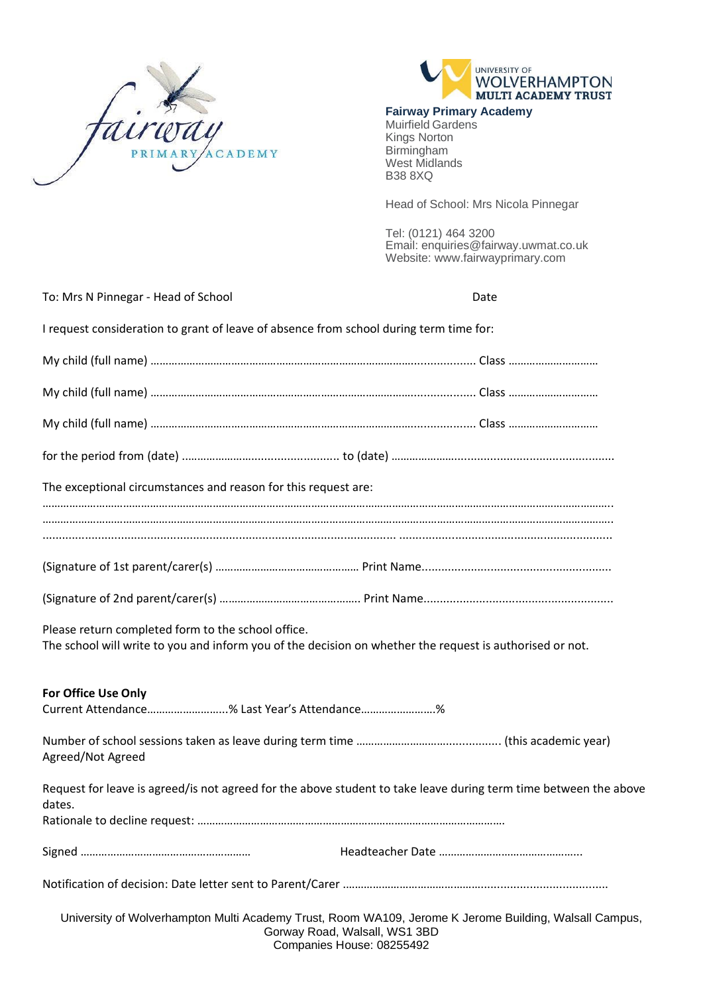



## **Fairway Primary Academy**

Muirfield Gardens Kings Norton Birmingham West Midlands B38 8XQ

Head of School: Mrs Nicola Pinnegar

Tel: (0121) 464 3200 Email: enquiries@fairway.uwmat.co.uk Website: [www.fairwayprimary.com](http://www.fairwayprimary.com/)

| To: Mrs N Pinnegar - Head of School                                                                                                                            | Date                                                                                                                                                                 |
|----------------------------------------------------------------------------------------------------------------------------------------------------------------|----------------------------------------------------------------------------------------------------------------------------------------------------------------------|
| I request consideration to grant of leave of absence from school during term time for:                                                                         |                                                                                                                                                                      |
|                                                                                                                                                                |                                                                                                                                                                      |
|                                                                                                                                                                |                                                                                                                                                                      |
|                                                                                                                                                                |                                                                                                                                                                      |
|                                                                                                                                                                |                                                                                                                                                                      |
| The exceptional circumstances and reason for this request are:                                                                                                 |                                                                                                                                                                      |
|                                                                                                                                                                |                                                                                                                                                                      |
|                                                                                                                                                                |                                                                                                                                                                      |
|                                                                                                                                                                |                                                                                                                                                                      |
| Please return completed form to the school office.<br>The school will write to you and inform you of the decision on whether the request is authorised or not. |                                                                                                                                                                      |
| For Office Use Only<br>Current Attendance% Last Year's Attendance%                                                                                             |                                                                                                                                                                      |
| Agreed/Not Agreed                                                                                                                                              |                                                                                                                                                                      |
| Request for leave is agreed/is not agreed for the above student to take leave during term time between the above<br>dates.                                     |                                                                                                                                                                      |
|                                                                                                                                                                |                                                                                                                                                                      |
|                                                                                                                                                                |                                                                                                                                                                      |
|                                                                                                                                                                | University of Wolverhampton Multi Academy Trust, Room WA109, Jerome K Jerome Building, Walsall Campus,<br>Gorway Road, Walsall, WS1 3BD<br>Companies House: 08255492 |